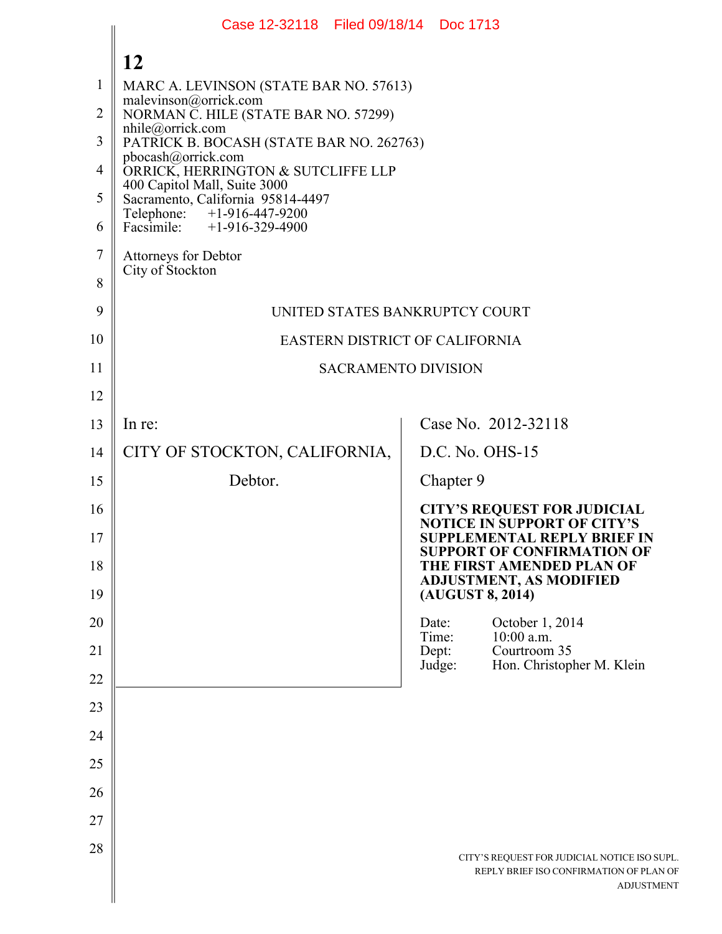|          | Case 12-32118 Filed 09/18/14 Doc 1713                             |                 |                                                                                                              |
|----------|-------------------------------------------------------------------|-----------------|--------------------------------------------------------------------------------------------------------------|
|          | 12                                                                |                 |                                                                                                              |
| 1        | MARC A. LEVINSON (STATE BAR NO. 57613)                            |                 |                                                                                                              |
| 2        | malevinson@orrick.com<br>NORMAN C. HILE (STATE BAR NO. 57299)     |                 |                                                                                                              |
| 3        | nhile@orrick.com<br>PATRICK B. BOCASH (STATE BAR NO. 262763)      |                 |                                                                                                              |
| 4        | pbocash@orrick.com<br>ORRICK, HERRINGTON & SUTCLIFFE LLP          |                 |                                                                                                              |
| 5        | 400 Capitol Mall, Suite 3000<br>Sacramento, California 95814-4497 |                 |                                                                                                              |
| 6        | Telephone: +1-916-447-9200<br>Facsimile: $+1-916-329-4900$        |                 |                                                                                                              |
| 7        | Attorneys for Debtor<br>City of Stockton                          |                 |                                                                                                              |
| 8        |                                                                   |                 |                                                                                                              |
| 9        | UNITED STATES BANKRUPTCY COURT                                    |                 |                                                                                                              |
| 10       | EASTERN DISTRICT OF CALIFORNIA                                    |                 |                                                                                                              |
| 11       | <b>SACRAMENTO DIVISION</b>                                        |                 |                                                                                                              |
| 12       |                                                                   |                 |                                                                                                              |
| 13       | In re:                                                            |                 | Case No. 2012-32118                                                                                          |
| 14       | CITY OF STOCKTON, CALIFORNIA,                                     |                 | $D.C.$ No. $OHS-15$                                                                                          |
| 15       | Debtor.                                                           | Chapter 9       |                                                                                                              |
| 16       |                                                                   |                 | <b>CITY'S REQUEST FOR JUDICIAL</b><br><b>NOTICE IN SUPPORT OF CITY'S</b>                                     |
| 17<br>18 |                                                                   |                 | <b>SUPPLEMENTAL REPLY BRIEF IN</b><br><b>SUPPORT OF CONFIRMATION OF</b><br>THE FIRST AMENDED PLAN OF         |
| 19       |                                                                   |                 | <b>ADJUSTMENT, AS MODIFIED</b><br>(AUGUST 8, 2014)                                                           |
| 20       |                                                                   | Date:<br>Time:  | October 1, 2014<br>$10:00$ a.m.                                                                              |
| 21       |                                                                   | Dept:<br>Judge: | Courtroom 35<br>Hon. Christopher M. Klein                                                                    |
| 22       |                                                                   |                 |                                                                                                              |
| 23       |                                                                   |                 |                                                                                                              |
| 24<br>25 |                                                                   |                 |                                                                                                              |
| 26       |                                                                   |                 |                                                                                                              |
| 27       |                                                                   |                 |                                                                                                              |
| 28       |                                                                   |                 |                                                                                                              |
|          |                                                                   |                 | CITY'S REQUEST FOR JUDICIAL NOTICE ISO SUPL.<br>REPLY BRIEF ISO CONFIRMATION OF PLAN OF<br><b>ADJUSTMENT</b> |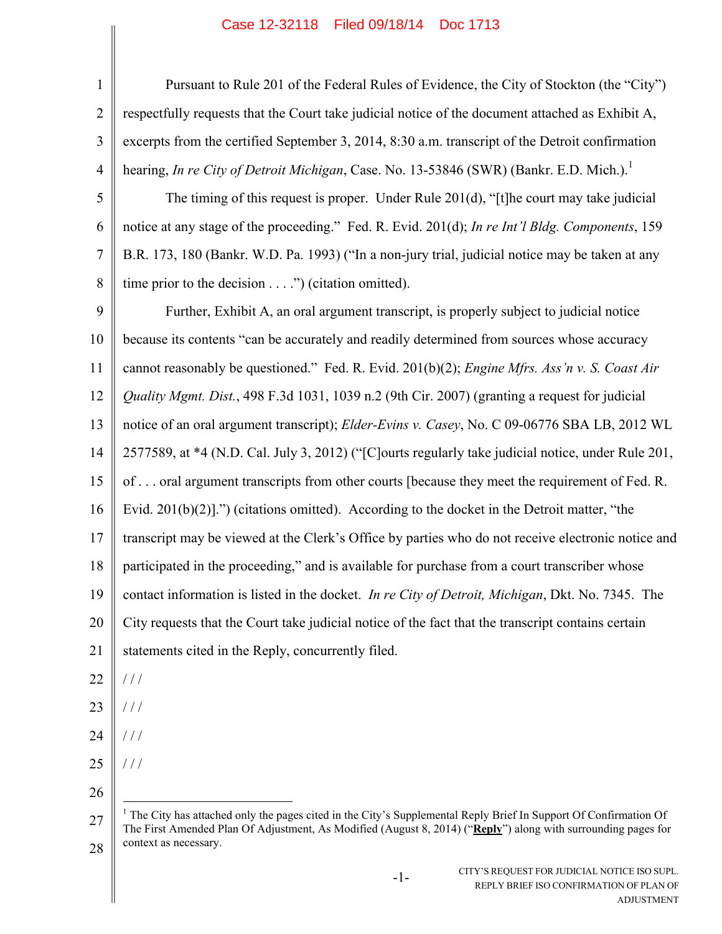| $\mathbf{1}$   | Pursuant to Rule 201 of the Federal Rules of Evidence, the City of Stockton (the "City")                                                                                                                                                      |
|----------------|-----------------------------------------------------------------------------------------------------------------------------------------------------------------------------------------------------------------------------------------------|
| $\overline{2}$ | respectfully requests that the Court take judicial notice of the document attached as Exhibit A,                                                                                                                                              |
| 3              | excerpts from the certified September 3, 2014, 8:30 a.m. transcript of the Detroit confirmation                                                                                                                                               |
| 4              | hearing, In re City of Detroit Michigan, Case. No. 13-53846 (SWR) (Bankr. E.D. Mich.).                                                                                                                                                        |
| 5              | The timing of this request is proper. Under Rule 201(d), "[t] he court may take judicial                                                                                                                                                      |
| 6              | notice at any stage of the proceeding." Fed. R. Evid. 201(d); In re Int'l Bldg. Components, 159                                                                                                                                               |
| $\tau$         | B.R. 173, 180 (Bankr. W.D. Pa. 1993) ("In a non-jury trial, judicial notice may be taken at any                                                                                                                                               |
| 8              | time prior to the decision $\dots$ .") (citation omitted).                                                                                                                                                                                    |
| 9              | Further, Exhibit A, an oral argument transcript, is properly subject to judicial notice                                                                                                                                                       |
| 10             | because its contents "can be accurately and readily determined from sources whose accuracy                                                                                                                                                    |
| 11             | cannot reasonably be questioned." Fed. R. Evid. 201(b)(2); Engine Mfrs. Ass'n v. S. Coast Air                                                                                                                                                 |
| 12             | Quality Mgmt. Dist., 498 F.3d 1031, 1039 n.2 (9th Cir. 2007) (granting a request for judicial                                                                                                                                                 |
| 13             | notice of an oral argument transcript); Elder-Evins v. Casey, No. C 09-06776 SBA LB, 2012 WL                                                                                                                                                  |
| 14             | 2577589, at *4 (N.D. Cal. July 3, 2012) ("[C]ourts regularly take judicial notice, under Rule 201,                                                                                                                                            |
| 15             | of  oral argument transcripts from other courts [because they meet the requirement of Fed. R.                                                                                                                                                 |
| 16             | Evid. $201(b)(2)$ ].") (citations omitted). According to the docket in the Detroit matter, "the                                                                                                                                               |
| 17             | transcript may be viewed at the Clerk's Office by parties who do not receive electronic notice and                                                                                                                                            |
| 18             | participated in the proceeding," and is available for purchase from a court transcriber whose                                                                                                                                                 |
| 19             | contact information is listed in the docket. <i>In re City of Detroit, Michigan</i> , Dkt. No. 7345. The                                                                                                                                      |
| 20             | City requests that the Court take judicial notice of the fact that the transcript contains certain                                                                                                                                            |
| 21             | statements cited in the Reply, concurrently filed.                                                                                                                                                                                            |
| 22             | $\frac{1}{2}$                                                                                                                                                                                                                                 |
| 23             | //                                                                                                                                                                                                                                            |
| 24             | 111                                                                                                                                                                                                                                           |
| 25             | //                                                                                                                                                                                                                                            |
| 26             |                                                                                                                                                                                                                                               |
| 27             | <sup>1</sup> The City has attached only the pages cited in the City's Supplemental Reply Brief In Support Of Confirmation Of<br>The First Amended Plan Of Adjustment, As Modified (August 8, 2014) ("Reply") along with surrounding pages for |

-1-

28 context as necessary.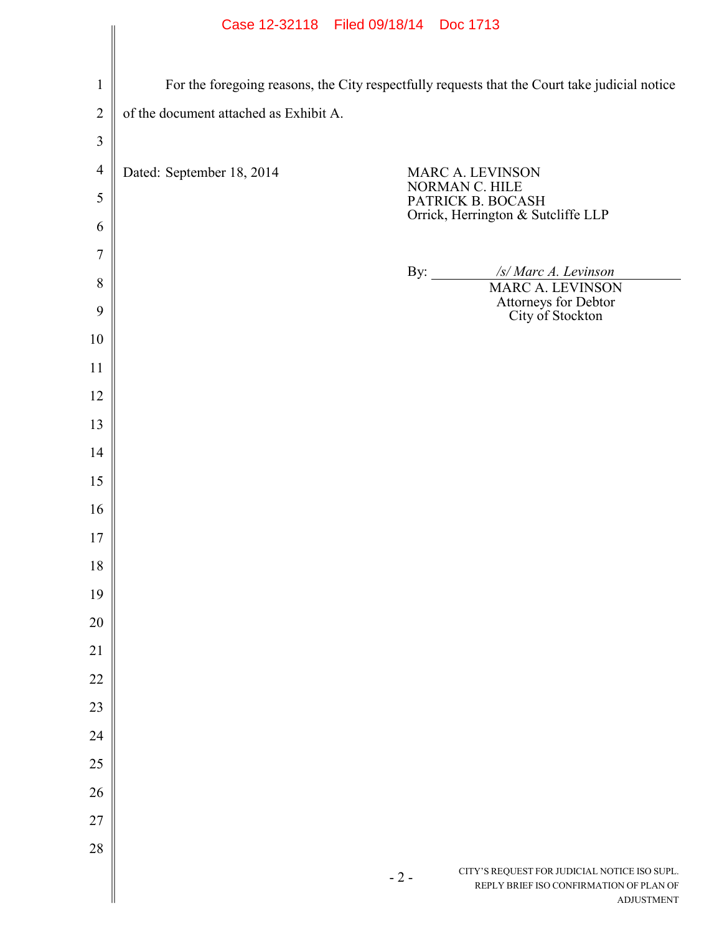|                |                                        | Case TS-32118 Filed 09/18/14 DOC 1113                                                                                 |  |  |  |  |
|----------------|----------------------------------------|-----------------------------------------------------------------------------------------------------------------------|--|--|--|--|
|                |                                        |                                                                                                                       |  |  |  |  |
| $\mathbf{1}$   |                                        | For the foregoing reasons, the City respectfully requests that the Court take judicial notice                         |  |  |  |  |
| $\overline{2}$ | of the document attached as Exhibit A. |                                                                                                                       |  |  |  |  |
| $\mathfrak{Z}$ |                                        |                                                                                                                       |  |  |  |  |
| $\overline{4}$ | Dated: September 18, 2014              | MARC A. LEVINSON                                                                                                      |  |  |  |  |
| 5              |                                        | NORMAN C. HILE<br>PATRICK B. BOCASH                                                                                   |  |  |  |  |
| 6              |                                        | Orrick, Herrington & Sutcliffe LLP                                                                                    |  |  |  |  |
| $\overline{7}$ |                                        |                                                                                                                       |  |  |  |  |
| 8              |                                        | By: $\qquad \qquad$<br>/s/ Marc A. Levinson<br><b>MARC A. LEVINSON</b>                                                |  |  |  |  |
| 9              |                                        | Attorneys for Debtor<br>City of Stockton                                                                              |  |  |  |  |
| 10             |                                        |                                                                                                                       |  |  |  |  |
| 11             |                                        |                                                                                                                       |  |  |  |  |
| 12             |                                        |                                                                                                                       |  |  |  |  |
| 13             |                                        |                                                                                                                       |  |  |  |  |
| 14             |                                        |                                                                                                                       |  |  |  |  |
| 15             |                                        |                                                                                                                       |  |  |  |  |
| 16             |                                        |                                                                                                                       |  |  |  |  |
| 17             |                                        |                                                                                                                       |  |  |  |  |
| 18             |                                        |                                                                                                                       |  |  |  |  |
| 19             |                                        |                                                                                                                       |  |  |  |  |
| 20             |                                        |                                                                                                                       |  |  |  |  |
| 21             |                                        |                                                                                                                       |  |  |  |  |
| 22             |                                        |                                                                                                                       |  |  |  |  |
| 23             |                                        |                                                                                                                       |  |  |  |  |
| 24             |                                        |                                                                                                                       |  |  |  |  |
| 25             |                                        |                                                                                                                       |  |  |  |  |
| 26             |                                        |                                                                                                                       |  |  |  |  |
| 27             |                                        |                                                                                                                       |  |  |  |  |
| 28             |                                        |                                                                                                                       |  |  |  |  |
|                |                                        | CITY'S REQUEST FOR JUDICIAL NOTICE ISO SUPL.<br>$-2-$<br>REPLY BRIEF ISO CONFIRMATION OF PLAN OF<br><b>ADJUSTMENT</b> |  |  |  |  |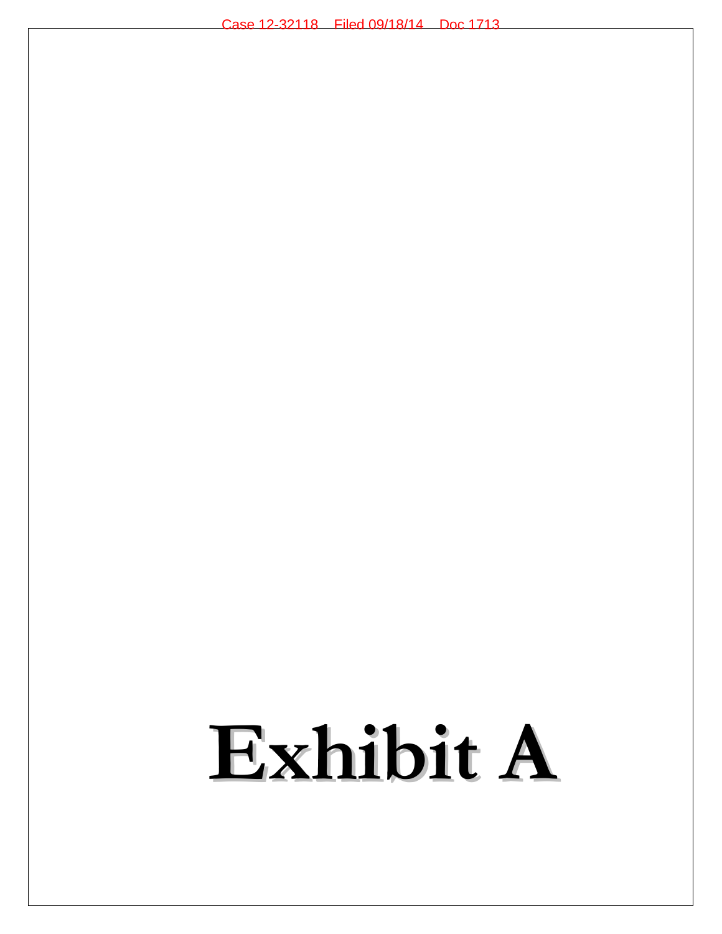# **Exhibit A**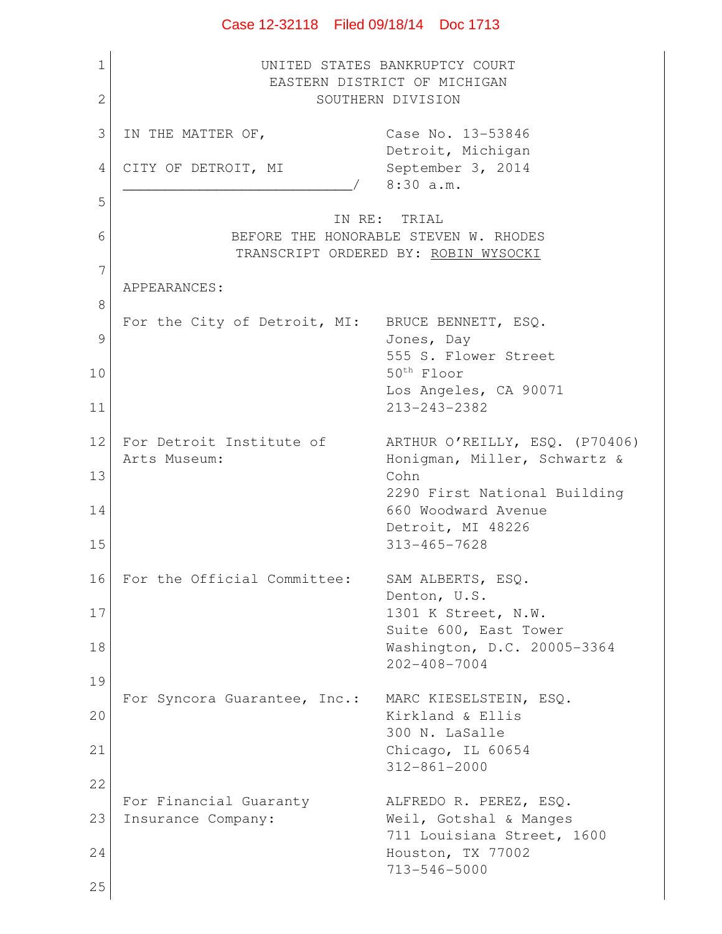## 1 2 3 4 5 6 7 8 9 10 11 12 13 14 15 16 17 18 19 20 21 22 23 24 25 UNITED STATES BANKRUPTCY COURT EASTERN DISTRICT OF MICHIGAN SOUTHERN DIVISION IN THE MATTER OF, Case No. 13-53846 Detroit, Michigan CITY OF DETROIT, MI September 3, 2014 \_\_\_\_\_\_\_\_\_\_\_\_\_\_\_\_\_\_\_\_\_\_\_\_\_\_\_/ 8:30 a.m. IN RE: TRIAL BEFORE THE HONORABLE STEVEN W. RHODES TRANSCRIPT ORDERED BY: ROBIN WYSOCKI APPEARANCES: For the City of Detroit, MI: BRUCE BENNETT, ESQ. Jones, Day 555 S. Flower Street 50th Floor Los Angeles, CA 90071 213-243-2382 For Detroit Institute of ARTHUR O'REILLY, ESO. (P70406) Arts Museum: Honigman, Miller, Schwartz & Cohn 2290 First National Building 660 Woodward Avenue Detroit, MI 48226 313-465-7628 For the Official Committee: SAM ALBERTS, ESQ. Denton, U.S. 1301 K Street, N.W. Suite 600, East Tower Washington, D.C. 20005-3364 202-408-7004 For Syncora Guarantee, Inc.: MARC KIESELSTEIN, ESQ. Kirkland & Ellis 300 N. LaSalle Chicago, IL 60654 312-861-2000 For Financial Guaranty ALFREDO R. PEREZ, ESQ. Insurance Company: Weil, Gotshal & Manges 711 Louisiana Street, 1600 Houston, TX 77002 713-546-5000

## Case 12-32118 Filed 09/18/14 Doc 1713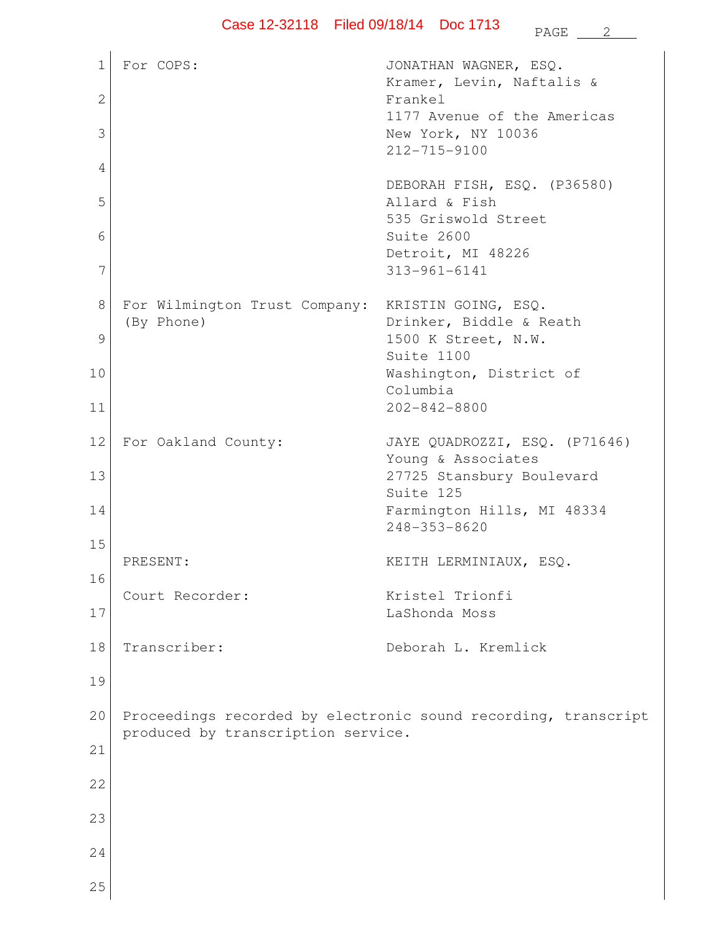1 2 3 4 5 6 7 8 9 10 11 12 13 14 15 16 17 18 19 20 21 22 23 24 25 For COPS:  $JONATHAN WAGNER, ESQ.$ Kramer, Levin, Naftalis & Frankel 1177 Avenue of the Americas New York, NY 10036 212-715-9100 DEBORAH FISH, ESQ. (P36580) Allard & Fish 535 Griswold Street Suite 2600 Detroit, MI 48226 313-961-6141 For Wilmington Trust Company: KRISTIN GOING, ESQ. (By Phone) Drinker, Biddle & Reath 1500 K Street, N.W. Suite 1100 Washington, District of Columbia 202-842-8800 For Oakland County: JAYE QUADROZZI, ESQ. (P71646) Young & Associates 27725 Stansbury Boulevard Suite 125 Farmington Hills, MI 48334 248-353-8620 PRESENT: KEITH LERMINIAUX, ESQ. Court Recorder: Kristel Trionfi LaShonda Moss Transcriber: Deborah L. Kremlick Proceedings recorded by electronic sound recording, transcript produced by transcription service.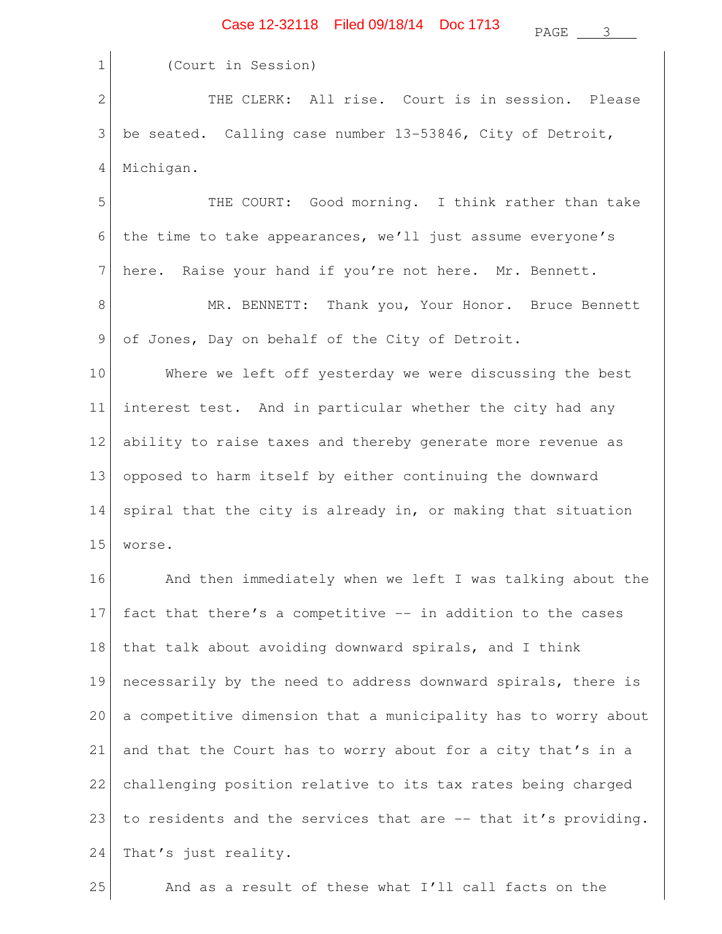# Case 12-32118 Filed 09/18/14 Doc 1713 PAGE <u>3</u>

| $\mathbf 1$    | (Court in Session)                                             |
|----------------|----------------------------------------------------------------|
| $\mathbf{2}$   | THE CLERK: All rise. Court is in session. Please               |
| 3              | be seated. Calling case number 13-53846, City of Detroit,      |
| $\overline{4}$ | Michigan.                                                      |
| 5              | THE COURT: Good morning. I think rather than take              |
| 6              | the time to take appearances, we'll just assume everyone's     |
| 7              | here. Raise your hand if you're not here. Mr. Bennett.         |
| 8              | MR. BENNETT: Thank you, Your Honor. Bruce Bennett              |
| 9              | of Jones, Day on behalf of the City of Detroit.                |
| 10             | Where we left off yesterday we were discussing the best        |
| 11             | interest test. And in particular whether the city had any      |
| 12             | ability to raise taxes and thereby generate more revenue as    |
| 13             | opposed to harm itself by either continuing the downward       |
| 14             | spiral that the city is already in, or making that situation   |
| 15             | worse.                                                         |
| 16             | And then immediately when we left I was talking about the      |
| 17             | fact that there's a competitive -- in addition to the cases    |
| 18             | that talk about avoiding downward spirals, and I think         |
| 19             | necessarily by the need to address downward spirals, there is  |
| 20             | a competitive dimension that a municipality has to worry about |
| 21             | and that the Court has to worry about for a city that's in a   |
| 22             | challenging position relative to its tax rates being charged   |
| 23             | to residents and the services that are -- that it's providing. |
| 24             | That's just reality.                                           |
| 25             | And as a result of these what I'll call facts on the           |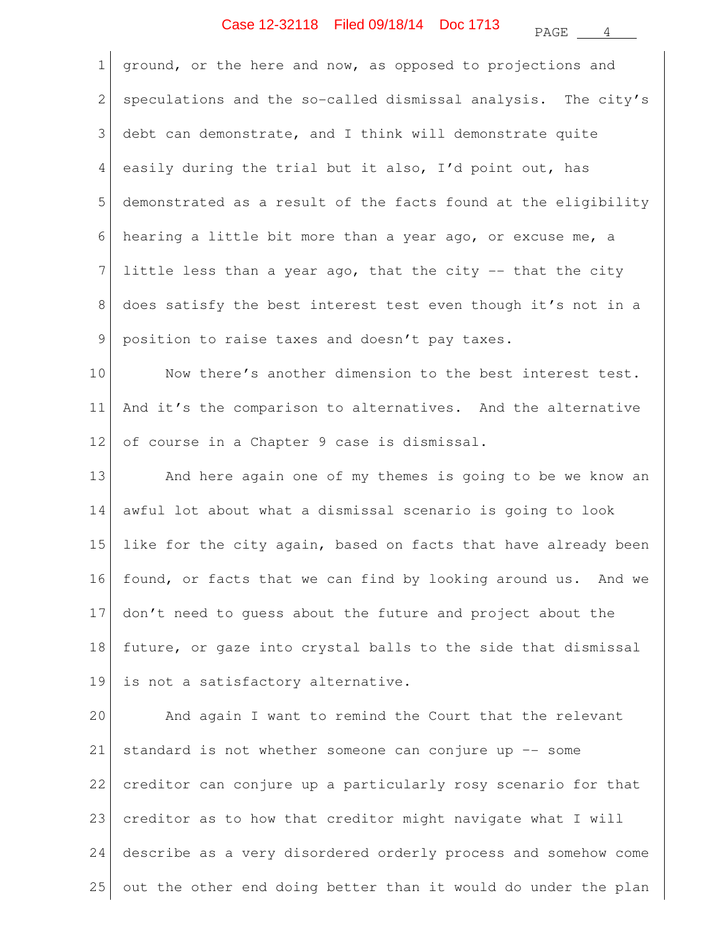### $PAGE \_ 4$ Case 12-32118 Filed 09/18/14 Doc 1713

| $\mathbf 1$     | ground, or the here and now, as opposed to projections and     |
|-----------------|----------------------------------------------------------------|
| 2               | speculations and the so-called dismissal analysis. The city's  |
| 3               | debt can demonstrate, and I think will demonstrate quite       |
| 4               | easily during the trial but it also, I'd point out, has        |
| 5               | demonstrated as a result of the facts found at the eligibility |
| 6               | hearing a little bit more than a year ago, or excuse me, a     |
| $7\phantom{.0}$ | little less than a year ago, that the city -- that the city    |
| 8               | does satisfy the best interest test even though it's not in a  |
| 9               | position to raise taxes and doesn't pay taxes.                 |
| 10              | Now there's another dimension to the best interest test.       |
| 11              | And it's the comparison to alternatives. And the alternative   |
| 12              | of course in a Chapter 9 case is dismissal.                    |
| 13              | And here again one of my themes is going to be we know an      |
| 14              | awful lot about what a dismissal scenario is going to look     |
| 15              | like for the city again, based on facts that have already been |
| 16              | found, or facts that we can find by looking around us. And we  |
| 17              | don't need to guess about the future and project about the     |
| 18              | future, or gaze into crystal balls to the side that dismissal  |
| 19              | is not a satisfactory alternative.                             |
| 20              | And again I want to remind the Court that the relevant         |
| 21              | standard is not whether someone can conjure up -- some         |
| 22              | creditor can conjure up a particularly rosy scenario for that  |
| 23              | creditor as to how that creditor might navigate what I will    |
| 24              | describe as a very disordered orderly process and somehow come |

25 out the other end doing better than it would do under the plan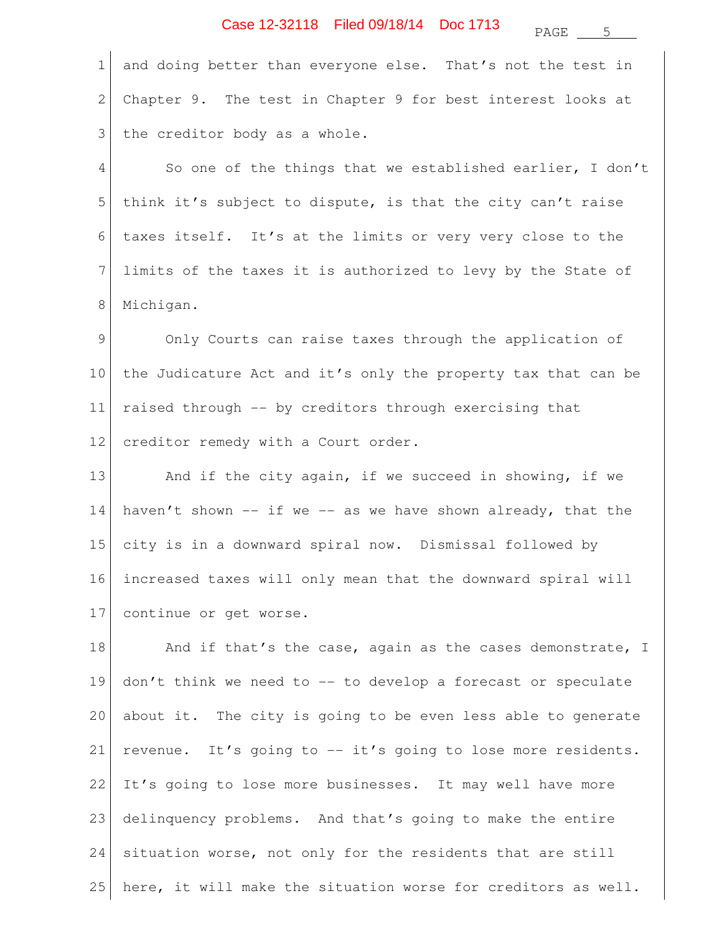PAGE 5

1 2 3 and doing better than everyone else. That's not the test in Chapter 9. The test in Chapter 9 for best interest looks at the creditor body as a whole.

4 5 6 7 8 So one of the things that we established earlier, I don't think it's subject to dispute, is that the city can't raise taxes itself. It's at the limits or very very close to the limits of the taxes it is authorized to levy by the State of Michigan.

9 10 11 12 Only Courts can raise taxes through the application of the Judicature Act and it's only the property tax that can be raised through -- by creditors through exercising that creditor remedy with a Court order.

13 14 15 16 17 And if the city again, if we succeed in showing, if we haven't shown  $--$  if we  $--$  as we have shown already, that the city is in a downward spiral now. Dismissal followed by increased taxes will only mean that the downward spiral will continue or get worse.

18 19 20 21 22 23 24 25 And if that's the case, again as the cases demonstrate, I don't think we need to -- to develop a forecast or speculate about it. The city is going to be even less able to generate revenue. It's going to -- it's going to lose more residents. It's going to lose more businesses. It may well have more delinquency problems. And that's going to make the entire situation worse, not only for the residents that are still here, it will make the situation worse for creditors as well.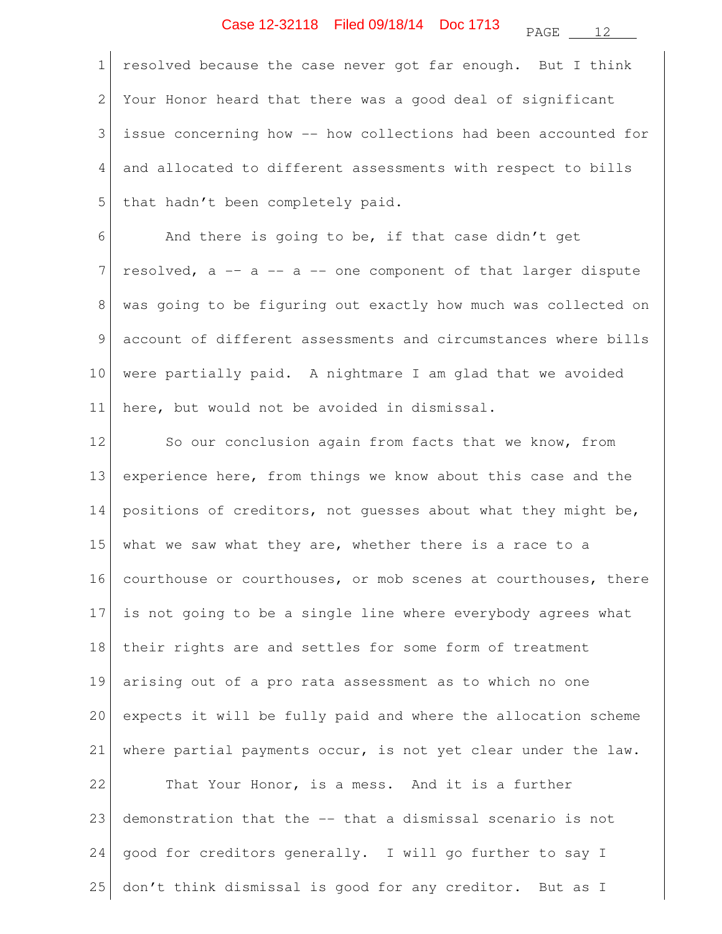PAGE 12

1 2 3 4 5 resolved because the case never got far enough. But I think Your Honor heard that there was a good deal of significant issue concerning how -- how collections had been accounted for and allocated to different assessments with respect to bills that hadn't been completely paid.

6 7 8 9 10 11 And there is going to be, if that case didn't get resolved, a -– a -- a -- one component of that larger dispute was going to be figuring out exactly how much was collected on account of different assessments and circumstances where bills were partially paid. A nightmare I am glad that we avoided here, but would not be avoided in dismissal.

12 13 14 15 16 17 18 19 20 21 22 23 24 So our conclusion again from facts that we know, from experience here, from things we know about this case and the positions of creditors, not guesses about what they might be, what we saw what they are, whether there is a race to a courthouse or courthouses, or mob scenes at courthouses, there is not going to be a single line where everybody agrees what their rights are and settles for some form of treatment arising out of a pro rata assessment as to which no one expects it will be fully paid and where the allocation scheme where partial payments occur, is not yet clear under the law. That Your Honor, is a mess. And it is a further demonstration that the -- that a dismissal scenario is not good for creditors generally. I will go further to say I

don't think dismissal is good for any creditor. But as I

25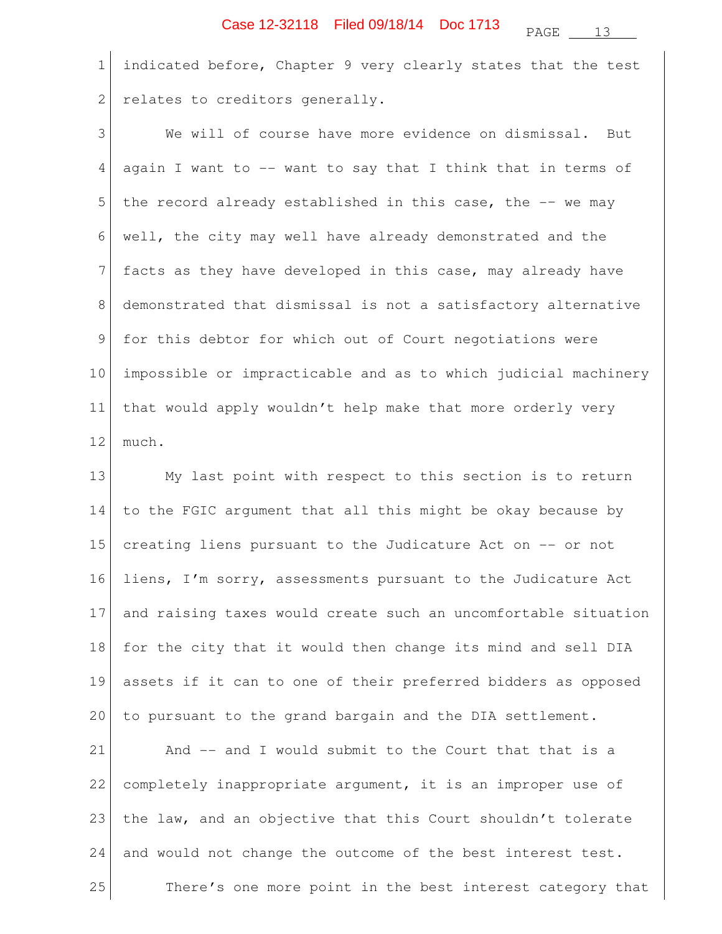1 2 indicated before, Chapter 9 very clearly states that the test relates to creditors generally.

3 4 5 6 7 8 9 10 11 12 We will of course have more evidence on dismissal. But again I want to -- want to say that I think that in terms of the record already established in this case, the -– we may well, the city may well have already demonstrated and the facts as they have developed in this case, may already have demonstrated that dismissal is not a satisfactory alternative for this debtor for which out of Court negotiations were impossible or impracticable and as to which judicial machinery that would apply wouldn't help make that more orderly very much.

13 14 15 16 17 18 19 20 21 22 23 24 25 My last point with respect to this section is to return to the FGIC argument that all this might be okay because by creating liens pursuant to the Judicature Act on -- or not liens, I'm sorry, assessments pursuant to the Judicature Act and raising taxes would create such an uncomfortable situation for the city that it would then change its mind and sell DIA assets if it can to one of their preferred bidders as opposed to pursuant to the grand bargain and the DIA settlement. And -- and I would submit to the Court that that is a completely inappropriate argument, it is an improper use of the law, and an objective that this Court shouldn't tolerate and would not change the outcome of the best interest test. There's one more point in the best interest category that